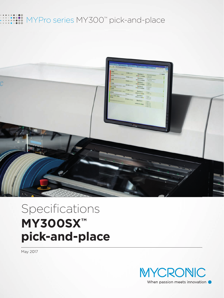## MYPro series MY300™ pick-and-place



# Specifications **MY300SX™ pick-and-place**

May 2017

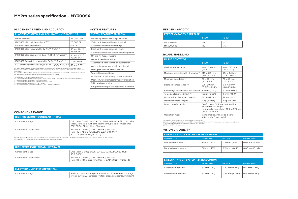### PLACEMENT SPEED AND ACCURACY SYSTEM FEATURES

#### **PLACEMENT SPEED AND ACCURACY – MY300SX-11/15**

| Rated speed (1)                                                          | 24 000 CPH                                              |
|--------------------------------------------------------------------------|---------------------------------------------------------|
| IPC 9850 chip net throughput $(2,3)$                                     | 20 000 CPH                                              |
| IPC 9850 chip tact time (3)                                              | 0.163 s                                                 |
| IPC 9850 chip repeatability $3\sigma$ (X, Y, Theta) $(3)$                | 30 µm, $1.8^{\circ}$ (6)<br>$45 \mu m$ , 1.8 $^{\circ}$ |
| IPC 9850 chip accuracy $\omega$ Cpk = 1.33 (X, Y, Theta) <sup>(5)</sup>  | 50 um, $2.6^{\circ}$ (6)<br>75 µm, 2.6°                 |
| IPC 9850 fine pitch repeatability $3\sigma$ (X, Y, Theta) <sup>(4)</sup> | $21 \mu m$ , 0.05 $^{\circ}$                            |
| IPC 9850 fine pitch accuracy @ Cpk = 1.33 (X, Y, Theta) $(4, 5)$         | $35 \mu m$ , 0.09 $^{\circ}$                            |

The above specification achieved with a machine configuration including high precision mounthead (Midas),<br>high speed mounthead (HYDRA Z8), line scan vision system (LVS), inline conveyor T460 and 15 mm component<br>max height.

(1) Depending on component and application.<br>
(2) According to IPC 9850. Net throughput = (no of parts x 3600) / (board build time + board transfer time).<br>
(3) According to IPC 9850 0402C verification panel.<br>
(4) According

- 
- 

| <b>SYSTEM FEATURES MY300SX</b>                   |
|--------------------------------------------------|
| On-the-fly mount order optimization              |
| Vision autoteach with snap-to-grid               |
| Automatic illumination settings                  |
| Intelligent feeder concept - Agilis              |
| Automatic feeder and component recognition       |
| On-the-fly feeder loading                        |
| Dynamic feeder positions                         |
| Automatic board stretch compensation             |
| Automatic conveyor width adjustment              |
| Intelligent surface impact control               |
| Tool collision avoidance                         |
| Multi-user, multi-tasking system software        |
| Open software interfaces for factory integration |
| SQL database engine                              |
| Programmable light settings fiducial camera      |

### BOARD HANDLING

| <b>INLINE CONVEYOR</b>                            |                                                                                                                            |                                        |
|---------------------------------------------------|----------------------------------------------------------------------------------------------------------------------------|----------------------------------------|
|                                                   | T460                                                                                                                       | T640                                   |
| Maximum board size                                | 460 x 510 mm<br>$(18" \times 20")$                                                                                         | 640 x 510 mm<br>$(25" \times 20")$     |
| Maximum board size with ML adaptor <sup>(1)</sup> | 419 x 443 mm<br>$(16.5'' \times 17.4'')$                                                                                   | 554 x 443 mm<br>$(21.8" \times 17.4")$ |
| Minimum board size (2)                            | 70 x 50 mm<br>$(2.7" \times 2")$                                                                                           | 70 x 50 mm<br>$(2.7" \times 2")$       |
| Board thickness range (2)                         | $0.4 - 6.0$ mm<br>$(0.016 - 0.24)$                                                                                         | $0.4 - 6.0$ mm<br>$(0.016 - 0.24)$     |
| Board edge clearance top and bottom               | 3.2 mm (0.13")                                                                                                             | 3.2 mm (0.13")                         |
| Top side clearance (max) (3)                      | 15 mm (0.59")                                                                                                              | 15 mm (0.59")                          |
| Bottom side clearance (max) <sup>(4)</sup>        | 32 mm (1.25")                                                                                                              | 32 mm (1.25")                          |
| Maximum board weight                              | 4 kg (8.8 lbs)                                                                                                             | 4 kg (8.8 lbs)                         |
| Board transfer height                             | Conforms to SMEMA standard for<br>board transfer height.<br>Height adjustable from 880 to 975 mm<br>$(34.6"$ to $38.4")$ . |                                        |
| Operation mode                                    | Inline, manual, inline odd-board,<br>left-to-right/right-to-left.                                                          |                                        |

(1) Optional. Suitable for irregular sized and odd-shaped boards.<br>(2) Board train specification: 90 x 50 mm (3.5″ x 2″) board size, 1.6 mm (0.06″) min thickness. Max warpage 1 mm (0.04″).<br>(3) Customized tall component c

#### FEEDER CAPACITY

| <b>FEEDER CAPACITY 8 MM TAPE</b> |      |      |
|----------------------------------|------|------|
|                                  | T460 | T640 |
| MY300SX-11                       | 128  | 112  |
| MY300SX-15                       | 192  | 176  |

| <b>HIGH SPEED MOUNTHEAD - HYDRA Z8</b> |                                                                                                                   |  |
|----------------------------------------|-------------------------------------------------------------------------------------------------------------------|--|
| Component range                        | Chip (from 01005), SO28, SOT223, SOJ20, PLCC32, MELF,<br>SOD, TSOP                                                |  |
| Component specification                | Min: $0.4 \times 0.2$ mm (0.016" x 0.008") (01005)<br>Max: 18.6 x 18.6 x 5.60 mm (0.73" x 0.73" x 0.22") (PLCC44) |  |

#### COMPONENT RANGE

| <b>HIGH PRECISION MOUNTHEAD - MIDAS</b> |                                                                                                                                                                 |  |
|-----------------------------------------|-----------------------------------------------------------------------------------------------------------------------------------------------------------------|--|
| Component range                         | Chip (from 01005), SOIC, PLCC, TSOP, QFP, BGA, flip chip, odd-<br>shape, surface-mount connectors, through-hole components,<br>CSP, CCGA, DPAK, Alcap, Tantalum |  |
| Component specification                 | Min: $0.4 \times 0.2$ mm (0.016" x 0.008") (01005)<br>Max: 140 x 73 x 15 mm (5.51" x 2.87" x 0.59") <sup>(1)</sup><br>Max: component weight: 140 g (2)          |  |

(1) With 4K vision. Max component size with 2K vision: 140 x 56 x 15 mm (5.51" x 2.20" x 0.59"). Customized tall component capability 22 mm (0.86") available.<br>(2) Depending on mounthead, mount tool, package, and producti

| <b>ELECTRICAL VERIFIER (OPTIONAL)</b> |                                                                                                                                                     |  |
|---------------------------------------|-----------------------------------------------------------------------------------------------------------------------------------------------------|--|
| Component range                       | Resistor, capacitor, unipolar capacitor, diode (forward voltage, $\vert$<br>reverse current), Zener diode (voltage drop), transistor (current gain) |  |

| <b>LINESCAN VISION SYSTEM - 2K RESOLUTION</b> |                        |                  |                       |
|-----------------------------------------------|------------------------|------------------|-----------------------|
| <b>COMPONENT TYPE</b>                         | <b>FIELD OF VIEW</b>   | <b>MIN PITCH</b> | <b>MIN LEAD WIDTH</b> |
| Leaded components                             | $63 \text{ mm} (2.5")$ | 0.20 mm (8 mil)  | 0.10 mm (4 mil)       |
| Bumped components                             | $63 \text{ mm} (2.5")$ | 0.25 mm (10 mil) | 0.13 mm (5 mil)       |

| <b>LINESCAN VISION SYSTEM - 4K RESOLUTION</b> |                        |                             |                     |
|-----------------------------------------------|------------------------|-----------------------------|---------------------|
| <b>COMPONENT TYPE</b>                         | <b>FIELD OF VIEW</b>   | <b>MIN PITCH</b>            | MIN LEAD WIDTH.     |
| Leaded components                             | 80 mm (3.1")           | $0.10$ mm $(4$ mil)         | $0.05$ mm (2 mil)   |
| Bumped components                             | $80 \text{ mm} (3.1")$ | $0.15$ mm $(6 \text{ mil})$ | $0.08$ mm $(3$ mil) |

#### VISION CAPABILITY